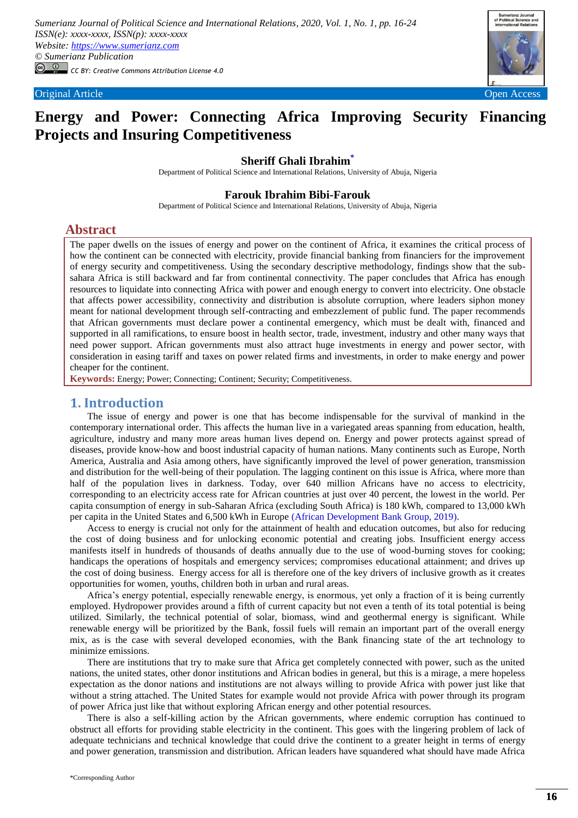

# **Energy and Power: Connecting Africa Improving Security Financing Projects and Insuring Competitiveness**

# **Sheriff Ghali Ibrahim[\\*](#page-0-0)**

Department of Political Science and International Relations, University of Abuja, Nigeria

### **Farouk Ibrahim Bibi-Farouk**

Department of Political Science and International Relations, University of Abuja, Nigeria

# **Abstract**

The paper dwells on the issues of energy and power on the continent of Africa, it examines the critical process of how the continent can be connected with electricity, provide financial banking from financiers for the improvement of energy security and competitiveness. Using the secondary descriptive methodology, findings show that the subsahara Africa is still backward and far from continental connectivity. The paper concludes that Africa has enough resources to liquidate into connecting Africa with power and enough energy to convert into electricity. One obstacle that affects power accessibility, connectivity and distribution is absolute corruption, where leaders siphon money meant for national development through self-contracting and embezzlement of public fund. The paper recommends that African governments must declare power a continental emergency, which must be dealt with, financed and supported in all ramifications, to ensure boost in health sector, trade, investment, industry and other many ways that need power support. African governments must also attract huge investments in energy and power sector, with consideration in easing tariff and taxes on power related firms and investments, in order to make energy and power cheaper for the continent.

**Keywords:** Energy; Power; Connecting; Continent; Security; Competitiveness.

# **1. Introduction**

The issue of energy and power is one that has become indispensable for the survival of mankind in the contemporary international order. This affects the human live in a variegated areas spanning from education, health, agriculture, industry and many more areas human lives depend on. Energy and power protects against spread of diseases, provide know-how and boost industrial capacity of human nations. Many continents such as Europe, North America, Australia and Asia among others, have significantly improved the level of power generation, transmission and distribution for the well-being of their population. The lagging continent on this issue is Africa, where more than half of the population lives in darkness. Today, over 640 million Africans have no access to electricity, corresponding to an electricity access rate for African countries at just over 40 percent, the lowest in the world. Per capita consumption of energy in sub-Saharan Africa (excluding South Africa) is 180 kWh, compared to 13,000 kWh per capita in the United States and 6,500 kWh in Europe [\(African Development Bank Group, 2019\)](#page-8-0).

Access to energy is crucial not only for the attainment of health and education outcomes, but also for reducing the cost of doing business and for unlocking economic potential and creating jobs. Insufficient energy access manifests itself in hundreds of thousands of deaths annually due to the use of wood-burning stoves for cooking; handicaps the operations of hospitals and emergency services; compromises educational attainment; and drives up the cost of doing business. Energy access for all is therefore one of the key drivers of inclusive growth as it creates opportunities for women, youths, children both in urban and rural areas.

Africa's energy potential, especially renewable energy, is enormous, yet only a fraction of it is being currently employed. Hydropower provides around a fifth of current capacity but not even a tenth of its total potential is being utilized. Similarly, the technical potential of solar, biomass, wind and geothermal energy is significant. While renewable energy will be prioritized by the Bank, fossil fuels will remain an important part of the overall energy mix, as is the case with several developed economies, with the Bank financing state of the art technology to minimize emissions.

There are institutions that try to make sure that Africa get completely connected with power, such as the united nations, the united states, other donor institutions and African bodies in general, but this is a mirage, a mere hopeless expectation as the donor nations and institutions are not always willing to provide Africa with power just like that without a string attached. The United States for example would not provide Africa with power through its program of power Africa just like that without exploring African energy and other potential resources.

<span id="page-0-0"></span>There is also a self-killing action by the African governments, where endemic corruption has continued to obstruct all efforts for providing stable electricity in the continent. This goes with the lingering problem of lack of adequate technicians and technical knowledge that could drive the continent to a greater height in terms of energy and power generation, transmission and distribution. African leaders have squandered what should have made Africa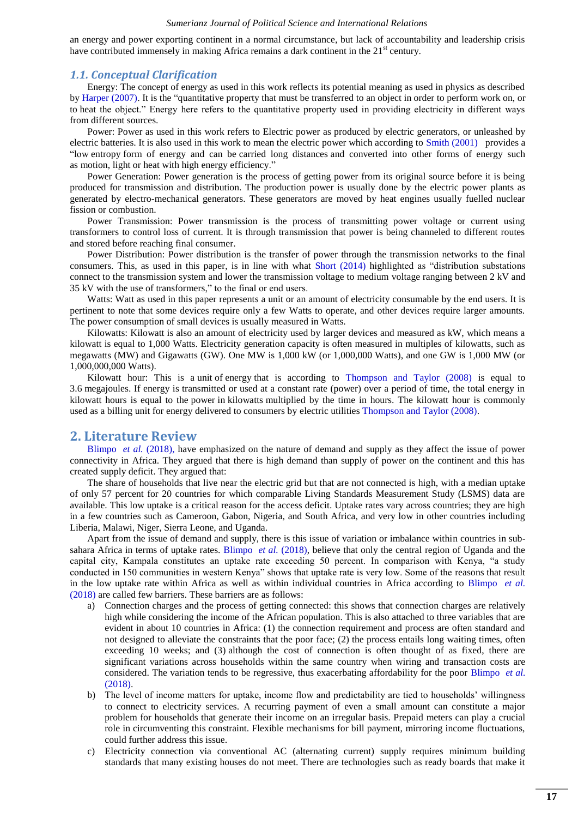an energy and power exporting continent in a normal circumstance, but lack of accountability and leadership crisis have contributed immensely in making Africa remains a dark continent in the  $21<sup>st</sup>$  century.

### *1.1. Conceptual Clarification*

Energy: The concept of energy as used in this work reflects its potential meaning as used in physics as described b[y Harper \(2007\).](#page-8-1) It is the "quantitative [property](https://en.wikipedia.org/wiki/Physical_property) that must be [transferred](https://en.wikipedia.org/wiki/Energy#Energy_transfer) to an [object](https://en.wikipedia.org/wiki/Physical_body) in order to perform [work](https://en.wikipedia.org/wiki/Work_(thermodynamics)) on, or to [heat](https://en.wikipedia.org/wiki/Heat) the object." Energy here refers to the quantitative property used in providing electricity in different ways from different sources.

Power: Power as used in this work refers to Electric power as produced by [electric generators,](https://en.wikipedia.org/wiki/Electric_generator) or unleashed by electric batteries. It is also used in this work to mean the electric power which according to [Smith \(2001\)](#page-8-2) provides a "low [entropy](https://en.wikipedia.org/wiki/Entropy) form of energy and can be [carried long distances](https://en.wikipedia.org/wiki/Electric_power_transmission) and converted into other forms of energy such as [motion,](https://en.wikipedia.org/wiki/Electric_motor) [light](https://en.wikipedia.org/wiki/Electric_light) or [heat](https://en.wikipedia.org/wiki/Electric_heat) with high [energy efficiency.](https://en.wikipedia.org/wiki/Electrical_efficiency)"

Power Generation: Power generation is the process of getting power from its original source before it is being produced for transmission and distribution. The production power is usually done by the electric power plants as generated by electro-mechanical generators. These generators are moved by heat engines usually fuelled nuclear fission or combustion.

Power Transmission: Power transmission is the process of transmitting power voltage or current using transformers to control loss of current. It is through transmission that power is being channeled to different routes and stored before reaching final consumer.

Power Distribution: Power distribution is the transfer of power through the transmission networks to the final consumers. This, as used in this paper, is in line with what Short  $(2014)$  highlighted as "distribution substations" connect to the transmission system and lower the transmission voltage to medium [voltage](https://en.wikipedia.org/wiki/Voltage) ranging between 2 [kV](https://en.wikipedia.org/wiki/Kilovolt) and 35 kV with the use of transformers," to the final or end users.

Watts: Watt as used in this paper represents a unit or an amount of electricity consumable by the end users. It is pertinent to note that some devices require only a few Watts to operate, and other devices require larger amounts. The power consumption of small devices is usually measured in Watts.

Kilowatts: Kilowatt is also an amount of electricity used by larger devices and measured as kW, which means a kilowatt is equal to 1,000 Watts. Electricity generation capacity is often measured in multiples of kilowatts, such as megawatts (MW) and Gigawatts (GW). One MW is 1,000 kW (or 1,000,000 Watts), and one GW is 1,000 MW (or 1,000,000,000 Watts).

Kilowatt hour: This is a [unit](https://en.wikipedia.org/wiki/Units_of_measurement) of [energy](https://en.wikipedia.org/wiki/Energy) that is according to [Thompson and Taylor \(2008\)](#page-8-4) is equal to 3.6 [megajoules.](https://en.wikipedia.org/wiki/Megajoule) If energy is transmitted or used at a constant rate (power) over a period of time, the total energy in kilowatt hours is equal to the [power](https://en.wikipedia.org/wiki/Power_(physics)) in [kilowatts](https://en.wikipedia.org/wiki/Kilowatt) multiplied by the time in hours. The kilowatt hour is commonly used as a billing unit for energy delivered to consumers by [electric utilities](https://en.wikipedia.org/wiki/Electric_utility) [Thompson and Taylor \(2008\).](#page-8-4)

# **2. Literature Review**

[Blimpo](#page-8-5) *et al.* (2018), have emphasized on the nature of demand and supply as they affect the issue of power connectivity in Africa. They argued that there is high demand than supply of power on the continent and this has created supply deficit. They argued that:

The share of households that live near the electric grid but that are not connected is high, with a median uptake of only 57 percent for 20 countries for which comparable Living Standards Measurement Study (LSMS) data are available. This low uptake is a critical reason for the access deficit. Uptake rates vary across countries; they are high in a few countries such as Cameroon, Gabon, Nigeria, and South Africa, and very low in other countries including Liberia, Malawi, Niger, Sierra Leone, and Uganda.

Apart from the issue of demand and supply, there is this issue of variation or imbalance within countries in subsahara Africa in terms of uptake rates. [Blimpo](#page-8-5) *et al.* (2018), believe that only the central region of Uganda and the capital city, Kampala constitutes an uptake rate exceeding 50 percent. In comparison with Kenya, "a study conducted in 150 communities in western Kenya" shows that uptake rate is very low. Some of the reasons that result in the low uptake rate within Africa as well as within individual countries in Africa according to [Blimpo](#page-8-5) *et al.* (2018) are called few barriers. These barriers are as follows:

- a) Connection charges and the process of getting connected: this shows that connection charges are relatively high while considering the income of the African population. This is also attached to three variables that are evident in about 10 countries in Africa: (1) the connection requirement and process are often standard and not designed to alleviate the constraints that the poor face; (2) the process entails long waiting times, often exceeding 10 weeks; and (3) although the cost of connection is often thought of as fixed, there are significant variations across households within the same country when wiring and transaction costs are considered. The variation tends to be regressive, thus exacerbating affordability for the poor [Blimpo](#page-8-5) *et al.* (2018).
- b) The level of income matters for uptake, income flow and predictability are tied to households' willingness to connect to electricity services. A recurring payment of even a small amount can constitute a major problem for households that generate their income on an irregular basis. Prepaid meters can play a crucial role in circumventing this constraint. Flexible mechanisms for bill payment, mirroring income fluctuations, could further address this issue.
- c) Electricity connection via conventional AC (alternating current) supply requires minimum building standards that many existing houses do not meet. There are technologies such as ready boards that make it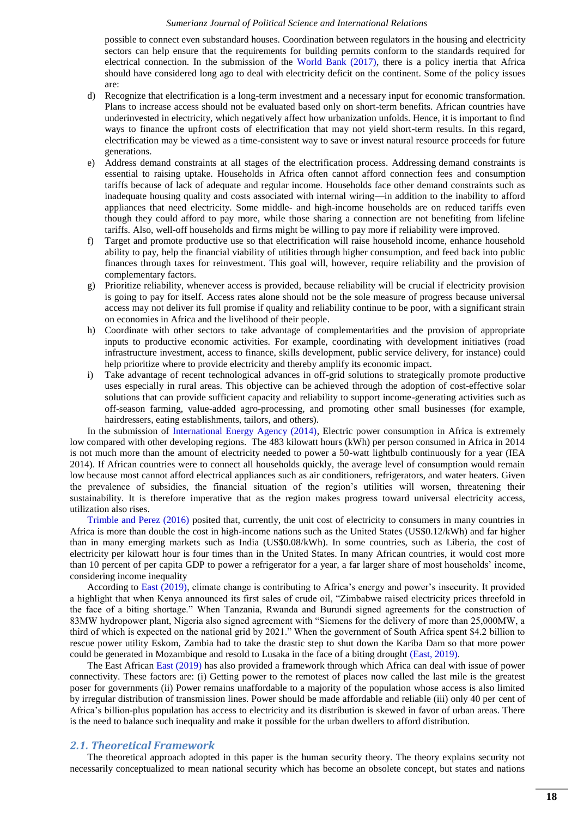possible to connect even substandard houses. Coordination between regulators in the housing and electricity sectors can help ensure that the requirements for building permits conform to the standards required for electrical connection. In the submission of the [World Bank \(2017\),](#page-8-6) there is a policy inertia that Africa should have considered long ago to deal with electricity deficit on the continent. Some of the policy issues are:

- d) Recognize that electrification is a long-term investment and a necessary input for economic transformation. Plans to increase access should not be evaluated based only on short-term benefits. African countries have underinvested in electricity, which negatively affect how urbanization unfolds. Hence, it is important to find ways to finance the upfront costs of electrification that may not yield short-term results. In this regard, electrification may be viewed as a time-consistent way to save or invest natural resource proceeds for future generations.
- e) Address demand constraints at all stages of the electrification process. Addressing demand constraints is essential to raising uptake. Households in Africa often cannot afford connection fees and consumption tariffs because of lack of adequate and regular income. Households face other demand constraints such as inadequate housing quality and costs associated with internal wiring—in addition to the inability to afford appliances that need electricity. Some middle- and high-income households are on reduced tariffs even though they could afford to pay more, while those sharing a connection are not benefiting from lifeline tariffs. Also, well-off households and firms might be willing to pay more if reliability were improved.
- f) Target and promote productive use so that electrification will raise household income, enhance household ability to pay, help the financial viability of utilities through higher consumption, and feed back into public finances through taxes for reinvestment. This goal will, however, require reliability and the provision of complementary factors.
- g) Prioritize reliability, whenever access is provided, because reliability will be crucial if electricity provision is going to pay for itself. Access rates alone should not be the sole measure of progress because universal access may not deliver its full promise if quality and reliability continue to be poor, with a significant strain on economies in Africa and the livelihood of their people.
- h) Coordinate with other sectors to take advantage of complementarities and the provision of appropriate inputs to productive economic activities. For example, coordinating with development initiatives (road infrastructure investment, access to finance, skills development, public service delivery, for instance) could help prioritize where to provide electricity and thereby amplify its economic impact.
- i) Take advantage of recent technological advances in off-grid solutions to strategically promote productive uses especially in rural areas. This objective can be achieved through the adoption of cost-effective solar solutions that can provide sufficient capacity and reliability to support income-generating activities such as off-season farming, value-added agro-processing, and promoting other small businesses (for example, hairdressers, eating establishments, tailors, and others).

In the submission of [International Energy Agency \(2014\),](#page-8-7) Electric power consumption in Africa is extremely low compared with other developing regions. The 483 kilowatt hours (kWh) per person consumed in Africa in 2014 is not much more than the amount of electricity needed to power a 50-watt lightbulb continuously for a year (IEA 2014). If African countries were to connect all households quickly, the average level of consumption would remain low because most cannot afford electrical appliances such as air conditioners, refrigerators, and water heaters. Given the prevalence of subsidies, the financial situation of the region's utilities will worsen, threatening their sustainability. It is therefore imperative that as the region makes progress toward universal electricity access, utilization also rises.

[Trimble and Perez \(2016\)](#page-8-8) posited that, currently, the unit cost of electricity to consumers in many countries in Africa is more than double the cost in high-income nations such as the United States (US\$0.12/kWh) and far higher than in many emerging markets such as India (US\$0.08/kWh). In some countries, such as Liberia, the cost of electricity per kilowatt hour is four times than in the United States. In many African countries, it would cost more than 10 percent of per capita GDP to power a refrigerator for a year, a far larger share of most households' income, considering income inequality

According to [East \(2019\),](#page-8-9) climate change is contributing to Africa's energy and power's insecurity. It provided a highlight that when Kenya announced its first sales of crude oil, "Zimbabwe raised electricity prices threefold in the face of a biting shortage." When Tanzania, Rwanda and Burundi signed agreements for the construction of 83MW hydropower plant, Nigeria also signed agreement with "Siemens for the delivery of more than 25,000MW, a third of which is expected on the national grid by 2021." When the government of South Africa spent \$4.2 billion to rescue power utility Eskom, Zambia had to take the drastic step to shut down the Kariba Dam so that more power could be generated in Mozambique and resold to Lusaka in the face of a biting drought [\(East, 2019\)](#page-8-9).

The East African [East \(2019\)](#page-8-9) has also provided a framework through which Africa can deal with issue of power connectivity. These factors are: (i) Getting power to the remotest of places now called the last mile is the greatest poser for governments (ii) Power remains unaffordable to a majority of the population whose access is also limited by irregular distribution of transmission lines. Power should be made affordable and reliable (iii) only 40 per cent of Africa's billion-plus population has access to electricity and its distribution is skewed in favor of urban areas. There is the need to balance such inequality and make it possible for the urban dwellers to afford distribution.

### *2.1. Theoretical Framework*

The theoretical approach adopted in this paper is the human security theory. The theory explains security not necessarily conceptualized to mean national security which has become an obsolete concept, but states and nations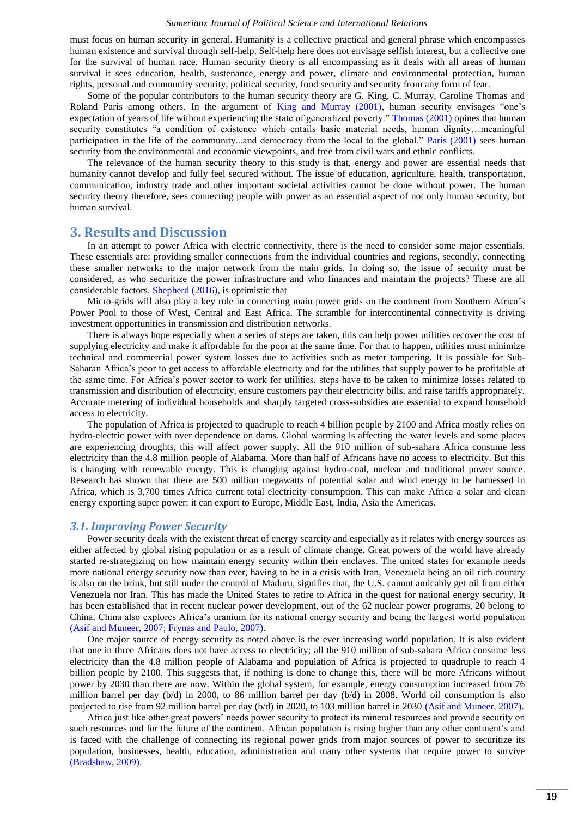must focus on human security in general. Humanity is a collective practical and general phrase which encompasses human existence and survival through self-help. Self-help here does not envisage selfish interest, but a collective one for the survival of human race. Human security theory is all encompassing as it deals with all areas of human survival it sees education, health, sustenance, energy and power, climate and environmental protection, human rights, personal and community security, political security, food security and security from any form of fear.

Some of the popular contributors to the human security theory are G. King, C. Murray, Caroline Thomas and Roland Paris among others. In the argument of [King and Murray \(2001\),](#page-8-10) human security envisages "one's expectation of years of life without experiencing the state of generalized poverty." [Thomas \(2001\)](#page-8-11) opines that human security constitutes "a condition of existence which entails basic material needs, human dignity…meaningful participation in the life of the community...and democracy from the local to the global." [Paris \(2001\)](#page-8-12) sees human security from the environmental and economic viewpoints, and free from civil wars and ethnic conflicts.

The relevance of the human security theory to this study is that, energy and power are essential needs that humanity cannot develop and fully feel secured without. The issue of education, agriculture, health, transportation, communication, industry trade and other important societal activities cannot be done without power. The human security theory therefore, sees connecting people with power as an essential aspect of not only human security, but human survival.

## **3. Results and Discussion**

In an attempt to power Africa with electric connectivity, there is the need to consider some major essentials. These essentials are: providing smaller connections from the individual countries and regions, secondly, connecting these smaller networks to the major network from the main grids. In doing so, the issue of security must be considered, as who securitize the power infrastructure and who finances and maintain the projects? These are all considerable factors. [Shepherd \(2016\),](#page-8-13) is optimistic that

Micro-grids will also play a key role in connecting main power grids on the continent from Southern Africa's Power Pool to those of West, Central and East Africa. The scramble for intercontinental connectivity is driving investment opportunities in transmission and distribution networks.

There is always hope especially when a series of steps are taken, this can help power utilities recover the cost of supplying electricity and make it affordable for the poor at the same time. For that to happen, utilities must minimize technical and commercial power system losses due to activities such as meter tampering. It is possible for Sub-Saharan Africa's poor to get access to affordable electricity and for the utilities that supply power to be profitable at the same time. For Africa's power sector to work for utilities, steps have to be taken to minimize losses related to transmission and distribution of electricity, ensure customers pay their electricity bills, and raise tariffs appropriately. Accurate metering of individual households and sharply targeted cross-subsidies are essential to expand household access to electricity.

The population of Africa is projected to quadruple to reach 4 billion people by 2100 and Africa mostly relies on hydro-electric power with over dependence on dams. Global warming is affecting the water levels and some places are experiencing droughts, this will affect power supply. All the 910 million of sub-sahara Africa consume less electricity than the 4.8 million people of Alabama. More than half of Africans have no access to electricity. But this is changing with renewable energy. This is changing against hydro-coal, nuclear and traditional power source. Research has shown that there are 500 million megawatts of potential solar and wind energy to be harnessed in Africa, which is 3,700 times Africa current total electricity consumption. This can make Africa a solar and clean energy exporting super power: it can export to Europe, Middle East, India, Asia the Americas.

### *3.1. Improving Power Security*

Power security deals with the existent threat of energy scarcity and especially as it relates with energy sources as either affected by global rising population or as a result of climate change. Great powers of the world have already started re-strategizing on how maintain energy security within their enclaves. The united states for example needs more national energy security now than ever, having to be in a crisis with Iran, Venezuela being an oil rich country is also on the brink, but still under the control of Maduru, signifies that, the U.S. cannot amicably get oil from either Venezuela nor Iran. This has made the United States to retire to Africa in the quest for national energy security. It has been established that in recent nuclear power development, out of the 62 nuclear power programs, 20 belong to China. China also explores Africa's uranium for its national energy security and being the largest world population [\(Asif and Muneer, 2007;](#page-8-14) [Frynas and Paulo, 2007\)](#page-8-15).

One major source of energy security as noted above is the ever increasing world population. It is also evident that one in three Africans does not have access to electricity; all the 910 million of sub-sahara Africa consume less electricity than the 4.8 million people of Alabama and population of Africa is projected to quadruple to reach 4 billion people by 2100. This suggests that, if nothing is done to change this, there will be more Africans without power by 2030 than there are now. Within the global system, for example, energy consumption increased from 76 million barrel per day (b/d) in 2000, to 86 million barrel per day (b/d) in 2008. World oil consumption is also projected to rise from 92 million barrel per day (b/d) in 2020, to 103 million barrel in 2030 [\(Asif and Muneer, 2007\)](#page-8-14).

Africa just like other great powers' needs power security to protect its mineral resources and provide security on such resources and for the future of the continent. African population is rising higher than any other continent's and is faced with the challenge of connecting its regional power grids from major sources of power to securitize its population, businesses, health, education, administration and many other systems that require power to survive [\(Bradshaw, 2009\)](#page-8-16).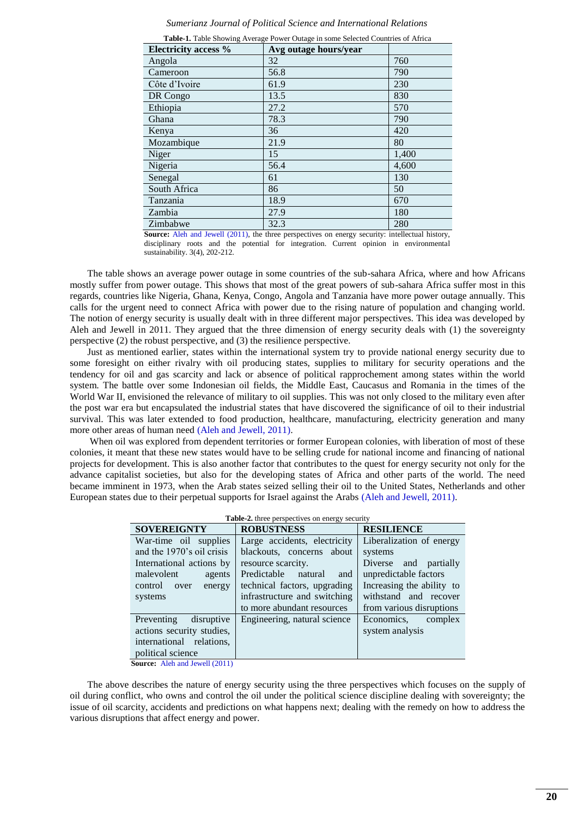| Sumerianz Journal of Political Science and International Relations |  |  |  |  |
|--------------------------------------------------------------------|--|--|--|--|
|--------------------------------------------------------------------|--|--|--|--|

| Electricity access % | Avg outage hours/year |       |
|----------------------|-----------------------|-------|
| Angola               | 32                    | 760   |
| Cameroon             | 56.8                  | 790   |
| Côte d'Ivoire        | 61.9                  | 230   |
| DR Congo             | 13.5                  | 830   |
| Ethiopia             | 27.2                  | 570   |
| Ghana                | 78.3                  | 790   |
| Kenya                | 36                    | 420   |
| Mozambique           | 21.9                  | 80    |
| Niger                | 15                    | 1,400 |
| Nigeria              | 56.4                  | 4,600 |
| Senegal              | 61                    | 130   |
| South Africa         | 86                    | 50    |
| Tanzania             | 18.9                  | 670   |
| Zambia               | 27.9                  | 180   |
| Zimbabwe             | 32.3                  | 280   |

**Table-1.** Table Showing Average Power Outage in some Selected Countries of Africa

**Source:** [Aleh and Jewell \(2011\),](#page-8-17) the three perspectives on energy security: intellectual history, disciplinary roots and the potential for integration. Current opinion in environmental sustainability. 3(4), 202-212.

The table shows an average power outage in some countries of the sub-sahara Africa, where and how Africans mostly suffer from power outage. This shows that most of the great powers of sub-sahara Africa suffer most in this regards, countries like Nigeria, Ghana, Kenya, Congo, Angola and Tanzania have more power outage annually. This calls for the urgent need to connect Africa with power due to the rising nature of population and changing world. The notion of energy security is usually dealt with in three different major perspectives. This idea was developed by Aleh and Jewell in 2011. They argued that the three dimension of energy security deals with (1) the sovereignty perspective (2) the robust perspective, and (3) the resilience perspective.

Just as mentioned earlier, states within the international system try to provide national energy security due to some foresight on either rivalry with oil producing states, supplies to military for security operations and the tendency for oil and gas scarcity and lack or absence of political rapprochement among states within the world system. The battle over some Indonesian oil fields, the Middle East, Caucasus and Romania in the times of the World War II, envisioned the relevance of military to oil supplies. This was not only closed to the military even after the post war era but encapsulated the industrial states that have discovered the significance of oil to their industrial survival. This was later extended to food production, healthcare, manufacturing, electricity generation and many more other areas of human need [\(Aleh and Jewell, 2011\)](#page-8-17).

When oil was explored from dependent territories or former European colonies, with liberation of most of these colonies, it meant that these new states would have to be selling crude for national income and financing of national projects for development. This is also another factor that contributes to the quest for energy security not only for the advance capitalist societies, but also for the developing states of Africa and other parts of the world. The need became imminent in 1973, when the Arab states seized selling their oil to the United States, Netherlands and other European states due to their perpetual supports for Israel against the Arabs [\(Aleh and Jewell, 2011\)](#page-8-17).

| <b>SOVEREIGNTY</b>        | <b>ROBUSTNESS</b>            | <b>RESILIENCE</b>         |  |  |
|---------------------------|------------------------------|---------------------------|--|--|
| War-time oil supplies     | Large accidents, electricity | Liberalization of energy  |  |  |
| and the 1970's oil crisis | blackouts, concerns about    | systems                   |  |  |
| International actions by  | resource scarcity.           | Diverse and partially     |  |  |
| malevolent<br>agents      | Predictable natural<br>and   | unpredictable factors     |  |  |
| control over<br>energy    | technical factors, upgrading | Increasing the ability to |  |  |
| systems                   | infrastructure and switching | withstand and recover     |  |  |
|                           | to more abundant resources   | from various disruptions  |  |  |
| Preventing<br>disruptive  | Engineering, natural science | Economics,<br>complex     |  |  |
| actions security studies, |                              | system analysis           |  |  |
| international relations,  |                              |                           |  |  |
| political science         |                              |                           |  |  |

**Table-2.** three perspectives on energy security

**Source:** [Aleh and Jewell \(2011\)](#page-8-17)

The above describes the nature of energy security using the three perspectives which focuses on the supply of oil during conflict, who owns and control the oil under the political science discipline dealing with sovereignty; the issue of oil scarcity, accidents and predictions on what happens next; dealing with the remedy on how to address the various disruptions that affect energy and power.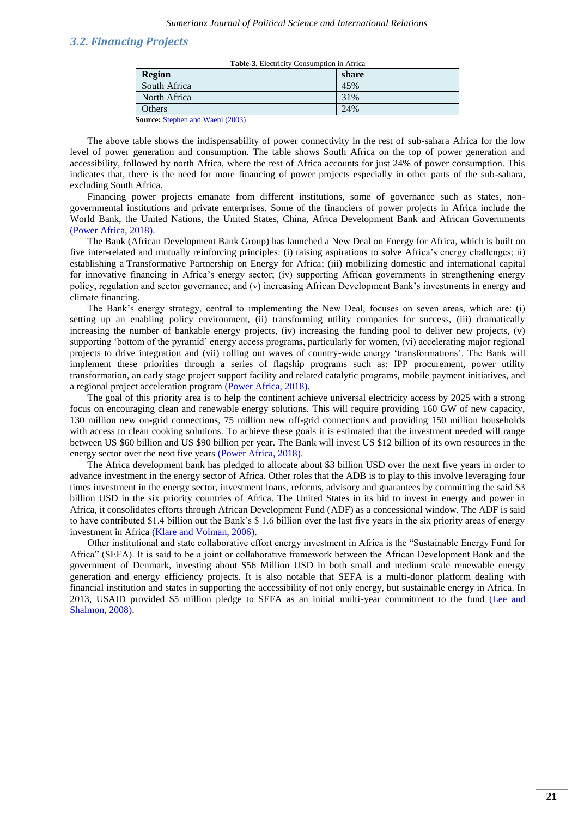### *3.2. Financing Projects*

| <b>Table 3.</b> Electricity Consumption in Africa                                                                                                  |       |  |  |
|----------------------------------------------------------------------------------------------------------------------------------------------------|-------|--|--|
| <b>Region</b>                                                                                                                                      | share |  |  |
| South Africa                                                                                                                                       | 45%   |  |  |
| North Africa                                                                                                                                       | 31%   |  |  |
| Others                                                                                                                                             | 24%   |  |  |
| $\alpha_{\text{measured}}$ $\alpha_{\text{t}}$ $\alpha_{\text{t}}$ $\alpha_{\text{t}}$ $\alpha_{\text{t}}$ $\alpha_{\text{t}}$ $\alpha_{\text{t}}$ |       |  |  |

**Source:** [Stephen and Waeni \(2003\)](#page-8-18)

The above table shows the indispensability of power connectivity in the rest of sub-sahara Africa for the low level of power generation and consumption. The table shows South Africa on the top of power generation and accessibility, followed by north Africa, where the rest of Africa accounts for just 24% of power consumption. This indicates that, there is the need for more financing of power projects especially in other parts of the sub-sahara, excluding South Africa.

Financing power projects emanate from different institutions, some of governance such as states, nongovernmental institutions and private enterprises. Some of the financiers of power projects in Africa include the World Bank, the United Nations, the United States, China, Africa Development Bank and African Governments [\(Power Africa, 2018\)](#page-8-19).

The Bank (African Development Bank Group) has launched a [New Deal on Energy for Africa,](https://www.afdb.org/fileadmin/uploads/afdb/Documents/Generic-Documents/Brochure_New_Deal_2_red.pdf) which is built on five inter-related and mutually reinforcing principles: (i) raising aspirations to solve Africa's energy challenges; ii) establishing a [Transformative Partnership on Energy for Africa;](https://www.afdb.org/en/news-and-events/afdb-presents-new-deal-on-energy-for-africa-and-the-transformative-partnership-on-energy-in-davos-15315/) (iii) mobilizing domestic and international capital for innovative financing in Africa's energy sector; (iv) supporting African governments in strengthening energy policy, regulation and sector governance; and (v) increasing African Development Bank's investments in energy and climate financing.

The Bank's energy strategy, central to implementing the New Deal, focuses on seven areas, which are: (i) setting up an enabling policy environment, (ii) transforming utility companies for success, (iii) dramatically increasing the number of bankable energy projects, (iv) increasing the funding pool to deliver new projects, (v) supporting 'bottom of the pyramid' energy access programs, particularly for women, (vi) accelerating major regional projects to drive integration and (vii) rolling out waves of country-wide energy ‗transformations'. The Bank will implement these priorities through a series of flagship programs such as: IPP procurement, power utility transformation, an early stage project support facility and related catalytic programs, mobile payment initiatives, and a regional project acceleration program [\(Power Africa, 2018\)](#page-8-19).

The goal of this priority area is to help the continent achieve universal electricity access by 2025 with a strong focus on encouraging clean and renewable energy solutions. This will require providing 160 GW of new capacity, 130 million new on-grid connections, 75 million new off-grid connections and providing 150 million households with access to clean cooking solutions. To achieve these goals it is estimated that the investment needed will range between US \$60 billion and US \$90 billion per year. The Bank will invest US \$12 billion of its own resources in the energy sector over the next five years [\(Power Africa, 2018\)](#page-8-19).

The Africa development bank has pledged to allocate about \$3 billion USD over the next five years in order to advance investment in the energy sector of Africa. Other roles that the ADB is to play to this involve leveraging four times investment in the energy sector, investment loans, reforms, advisory and guarantees by committing the said \$3 billion USD in the six priority countries of Africa. The United States in its bid to invest in energy and power in Africa, it consolidates efforts through African Development Fund (ADF) as a concessional window. The ADF is said to have contributed \$1.4 billion out the Bank's \$ 1.6 billion over the last five years in the six priority areas of energy investment in Africa [\(Klare and Volman, 2006\)](#page-8-20).

Other institutional and state collaborative effort energy investment in Africa is the "Sustainable Energy Fund for Africa" (SEFA). It is said to be a joint or collaborative framework between the African Development Bank and the government of Denmark, investing about \$56 Million USD in both small and medium scale renewable energy generation and energy efficiency projects. It is also notable that SEFA is a multi-donor platform dealing with financial institution and states in supporting the accessibility of not only energy, but sustainable energy in Africa. In 2013, USAID provided \$5 million pledge to SEFA as an initial multi-year commitment to the fund [\(Lee and](#page-8-21)  [Shalmon, 2008\)](#page-8-21).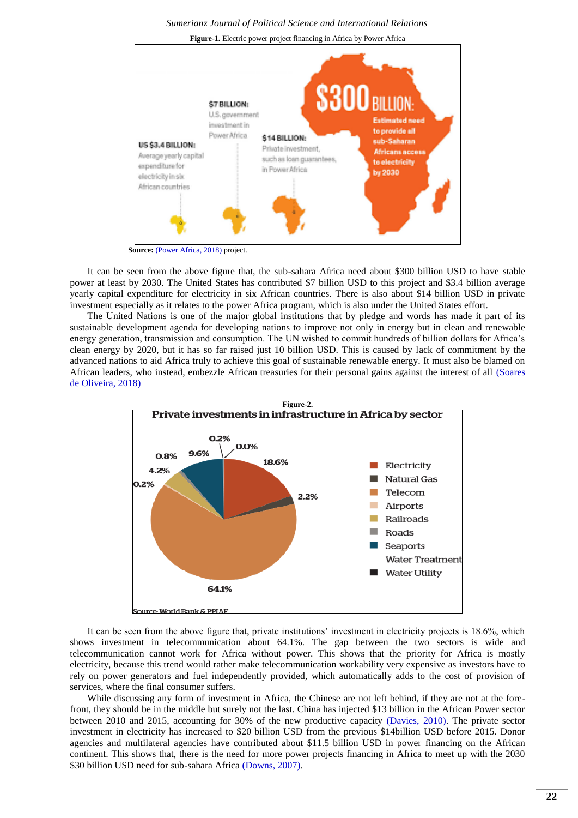

 **Source:** [\(Power Africa, 2018\)](#page-8-19) project.

It can be seen from the above figure that, the sub-sahara Africa need about \$300 billion USD to have stable power at least by 2030. The United States has contributed \$7 billion USD to this project and \$3.4 billion average yearly capital expenditure for electricity in six African countries. There is also about \$14 billion USD in private investment especially as it relates to the power Africa program, which is also under the United States effort.

The United Nations is one of the major global institutions that by pledge and words has made it part of its sustainable development agenda for developing nations to improve not only in energy but in clean and renewable energy generation, transmission and consumption. The UN wished to commit hundreds of billion dollars for Africa's clean energy by 2020, but it has so far raised just 10 billion USD. This is caused by lack of commitment by the advanced nations to aid Africa truly to achieve this goal of sustainable renewable energy. It must also be blamed on African leaders, who instead, embezzle African treasuries for their personal gains against the interest of all [\(Soares](#page-8-22)  [de Oliveira, 2018\)](#page-8-22)



It can be seen from the above figure that, private institutions' investment in electricity projects is 18.6%, which shows investment in telecommunication about 64.1%. The gap between the two sectors is wide and telecommunication cannot work for Africa without power. This shows that the priority for Africa is mostly electricity, because this trend would rather make telecommunication workability very expensive as investors have to rely on power generators and fuel independently provided, which automatically adds to the cost of provision of services, where the final consumer suffers.

While discussing any form of investment in Africa, the Chinese are not left behind, if they are not at the forefront, they should be in the middle but surely not the last. China has injected \$13 billion in the African Power sector between 2010 and 2015, accounting for 30% of the new productive capacity [\(Davies, 2010\)](#page-8-23). The private sector investment in electricity has increased to \$20 billion USD from the previous \$14billion USD before 2015. Donor agencies and multilateral agencies have contributed about \$11.5 billion USD in power financing on the African continent. This shows that, there is the need for more power projects financing in Africa to meet up with the 2030 \$30 billion USD need for sub-sahara Africa [\(Downs, 2007\)](#page-8-24).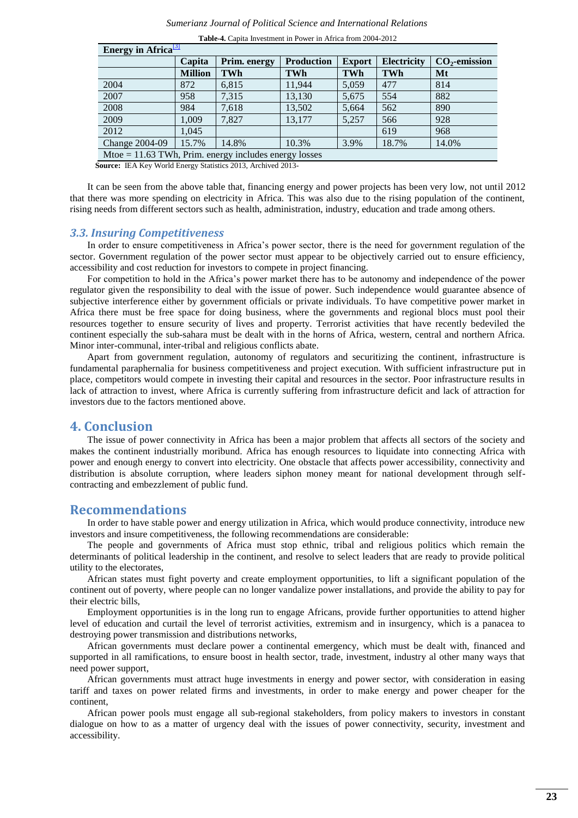| енегду ш жилса                                          |                |              |                   |               |                    |                 |
|---------------------------------------------------------|----------------|--------------|-------------------|---------------|--------------------|-----------------|
|                                                         | Capita         | Prim. energy | <b>Production</b> | <b>Export</b> | <b>Electricity</b> | $CO2$ -emission |
|                                                         | <b>Million</b> | <b>TWh</b>   | TWh               | <b>TWh</b>    | <b>TWh</b>         | Mt              |
| 2004                                                    | 872            | 6,815        | 11.944            | 5,059         | 477                | 814             |
| 2007                                                    | 958            | 7,315        | 13,130            | 5,675         | 554                | 882             |
| 2008                                                    | 984            | 7,618        | 13,502            | 5,664         | 562                | 890             |
| 2009                                                    | 1,009          | 7,827        | 13.177            | 5,257         | 566                | 928             |
| 2012                                                    | 1,045          |              |                   |               | 619                | 968             |
| <b>Change 2004-09</b>                                   | 15.7%          | 14.8%        | 10.3%             | 3.9%          | 18.7%              | 14.0%           |
| Mtoe $= 11.63$ TWh, Prim. energy includes energy losses |                |              |                   |               |                    |                 |

**Table-4.** Capita Investment in Power in Africa from 2004-2012

 **Source:** IEA Key World Energy Statistics [2013,](http://www.iea.org/publications/freepublications/publication/name,31287,en.html) [Archived](https://web.archive.org/web/20131222004609/http:/www.iea.org/publications/freepublications/publication/name,31287,en.html) 2013-

It can be seen from the above table that, financing energy and power projects has been very low, not until 2012 that there was more spending on electricity in Africa. This was also due to the rising population of the continent, rising needs from different sectors such as health, administration, industry, education and trade among others.

### *3.3. Insuring Competitiveness*

**Energy in Africa**[\[3\]](https://en.wikipedia.org/wiki/Energy_in_Africa#cite_note-IEA2013-3)

In order to ensure competitiveness in Africa's power sector, there is the need for government regulation of the sector. Government regulation of the power sector must appear to be objectively carried out to ensure efficiency, accessibility and cost reduction for investors to compete in project financing.

For competition to hold in the Africa's power market there has to be autonomy and independence of the power regulator given the responsibility to deal with the issue of power. Such independence would guarantee absence of subjective interference either by government officials or private individuals. To have competitive power market in Africa there must be free space for doing business, where the governments and regional blocs must pool their resources together to ensure security of lives and property. Terrorist activities that have recently bedeviled the continent especially the sub-sahara must be dealt with in the horns of Africa, western, central and northern Africa. Minor inter-communal, inter-tribal and religious conflicts abate.

Apart from government regulation, autonomy of regulators and securitizing the continent, infrastructure is fundamental paraphernalia for business competitiveness and project execution. With sufficient infrastructure put in place, competitors would compete in investing their capital and resources in the sector. Poor infrastructure results in lack of attraction to invest, where Africa is currently suffering from infrastructure deficit and lack of attraction for investors due to the factors mentioned above.

## **4. Conclusion**

The issue of power connectivity in Africa has been a major problem that affects all sectors of the society and makes the continent industrially moribund. Africa has enough resources to liquidate into connecting Africa with power and enough energy to convert into electricity. One obstacle that affects power accessibility, connectivity and distribution is absolute corruption, where leaders siphon money meant for national development through selfcontracting and embezzlement of public fund.

# **Recommendations**

In order to have stable power and energy utilization in Africa, which would produce connectivity, introduce new investors and insure competitiveness, the following recommendations are considerable:

The people and governments of Africa must stop ethnic, tribal and religious politics which remain the determinants of political leadership in the continent, and resolve to select leaders that are ready to provide political utility to the electorates,

African states must fight poverty and create employment opportunities, to lift a significant population of the continent out of poverty, where people can no longer vandalize power installations, and provide the ability to pay for their electric bills,

Employment opportunities is in the long run to engage Africans, provide further opportunities to attend higher level of education and curtail the level of terrorist activities, extremism and in insurgency, which is a panacea to destroying power transmission and distributions networks,

African governments must declare power a continental emergency, which must be dealt with, financed and supported in all ramifications, to ensure boost in health sector, trade, investment, industry al other many ways that need power support,

African governments must attract huge investments in energy and power sector, with consideration in easing tariff and taxes on power related firms and investments, in order to make energy and power cheaper for the continent,

African power pools must engage all sub-regional stakeholders, from policy makers to investors in constant dialogue on how to as a matter of urgency deal with the issues of power connectivity, security, investment and accessibility.